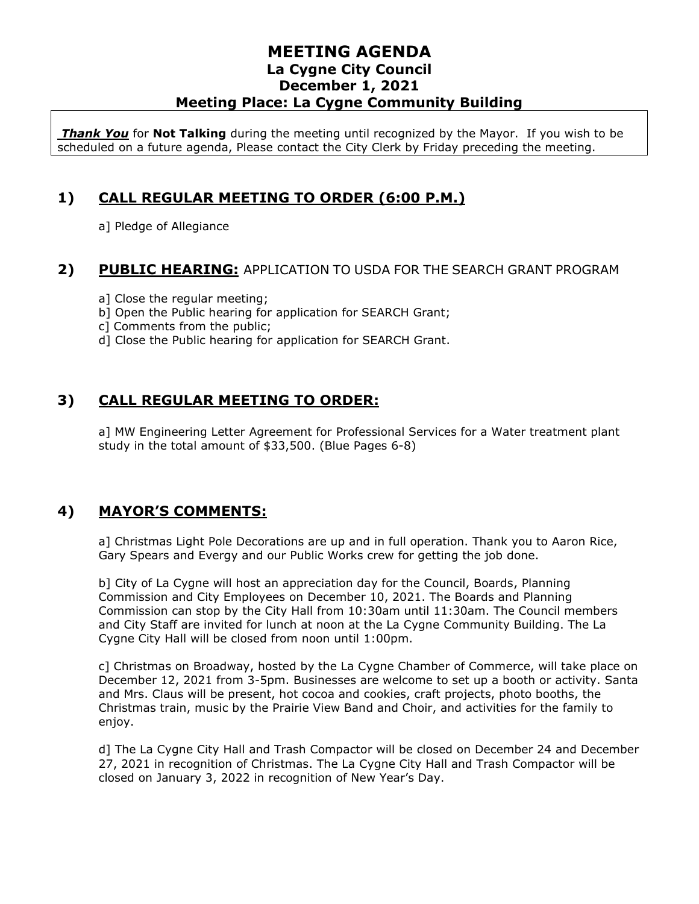*Thank You* for **Not Talking** during the meeting until recognized by the Mayor. If you wish to be scheduled on a future agenda, Please contact the City Clerk by Friday preceding the meeting.

# **1) CALL REGULAR MEETING TO ORDER (6:00 P.M.)**

a] Pledge of Allegiance

#### **2) PUBLIC HEARING:** APPLICATION TO USDA FOR THE SEARCH GRANT PROGRAM

- a] Close the regular meeting;
- b] Open the Public hearing for application for SEARCH Grant;
- c] Comments from the public;
- d] Close the Public hearing for application for SEARCH Grant.

# **3) CALL REGULAR MEETING TO ORDER:**

a] MW Engineering Letter Agreement for Professional Services for a Water treatment plant study in the total amount of \$33,500. (Blue Pages 6-8)

#### **4) MAYOR'S COMMENTS:**

a] Christmas Light Pole Decorations are up and in full operation. Thank you to Aaron Rice, Gary Spears and Evergy and our Public Works crew for getting the job done.

b] City of La Cygne will host an appreciation day for the Council, Boards, Planning Commission and City Employees on December 10, 2021. The Boards and Planning Commission can stop by the City Hall from 10:30am until 11:30am. The Council members and City Staff are invited for lunch at noon at the La Cygne Community Building. The La Cygne City Hall will be closed from noon until 1:00pm.

c] Christmas on Broadway, hosted by the La Cygne Chamber of Commerce, will take place on December 12, 2021 from 3-5pm. Businesses are welcome to set up a booth or activity. Santa and Mrs. Claus will be present, hot cocoa and cookies, craft projects, photo booths, the Christmas train, music by the Prairie View Band and Choir, and activities for the family to enjoy.

d] The La Cygne City Hall and Trash Compactor will be closed on December 24 and December 27, 2021 in recognition of Christmas. The La Cygne City Hall and Trash Compactor will be closed on January 3, 2022 in recognition of New Year's Day.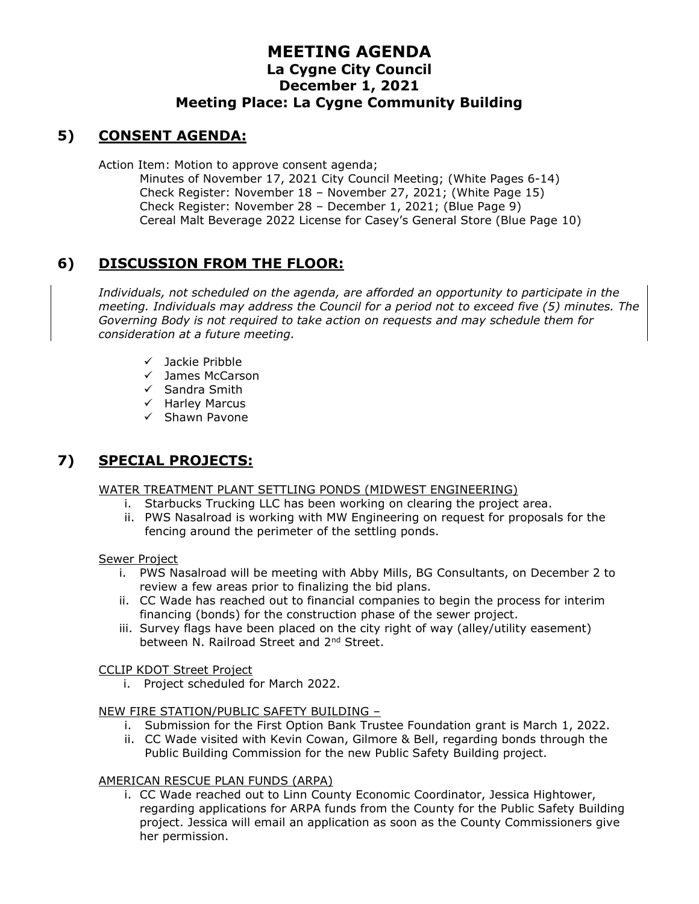# **5) CONSENT AGENDA:**

Action Item: Motion to approve consent agenda;

Minutes of November 17, 2021 City Council Meeting; (White Pages 6-14) Check Register: November 18 – November 27, 2021; (White Page 15) Check Register: November 28 – December 1, 2021; (Blue Page 9) Cereal Malt Beverage 2022 License for Casey's General Store (Blue Page 10)

# **6) DISCUSSION FROM THE FLOOR:**

*Individuals, not scheduled on the agenda, are afforded an opportunity to participate in the meeting. Individuals may address the Council for a period not to exceed five (5) minutes. The Governing Body is not required to take action on requests and may schedule them for consideration at a future meeting.* 

- ✓ Jackie Pribble
- ✓ James McCarson
- ✓ Sandra Smith
- ✓ Harley Marcus
- ✓ Shawn Pavone

# **7) SPECIAL PROJECTS:**

WATER TREATMENT PLANT SETTLING PONDS (MIDWEST ENGINEERING)

- i. Starbucks Trucking LLC has been working on clearing the project area.
- ii. PWS Nasalroad is working with MW Engineering on request for proposals for the fencing around the perimeter of the settling ponds.

Sewer Project

- i. PWS Nasalroad will be meeting with Abby Mills, BG Consultants, on December 2 to review a few areas prior to finalizing the bid plans.
- ii. CC Wade has reached out to financial companies to begin the process for interim financing (bonds) for the construction phase of the sewer project.
- iii. Survey flags have been placed on the city right of way (alley/utility easement) between N. Railroad Street and 2<sup>nd</sup> Street.

#### CCLIP KDOT Street Project

i. Project scheduled for March 2022.

#### NEW FIRE STATION/PUBLIC SAFETY BUILDING –

- i. Submission for the First Option Bank Trustee Foundation grant is March 1, 2022.
- ii. CC Wade visited with Kevin Cowan, Gilmore & Bell, regarding bonds through the Public Building Commission for the new Public Safety Building project.

#### AMERICAN RESCUE PLAN FUNDS (ARPA)

i. CC Wade reached out to Linn County Economic Coordinator, Jessica Hightower, regarding applications for ARPA funds from the County for the Public Safety Building project. Jessica will email an application as soon as the County Commissioners give her permission.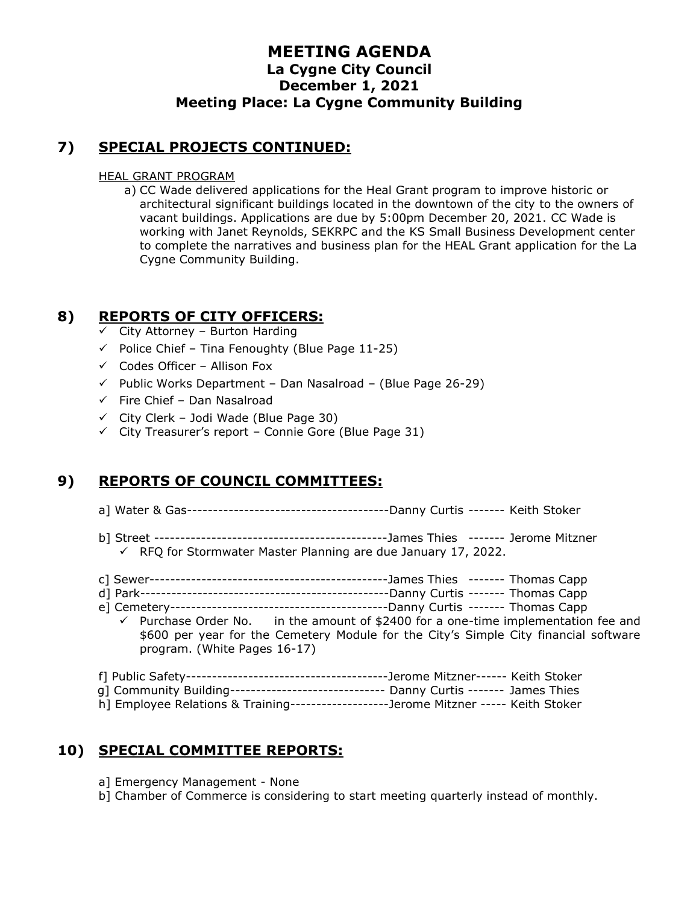## **7) SPECIAL PROJECTS CONTINUED:**

#### HEAL GRANT PROGRAM

a) CC Wade delivered applications for the Heal Grant program to improve historic or architectural significant buildings located in the downtown of the city to the owners of vacant buildings. Applications are due by 5:00pm December 20, 2021. CC Wade is working with Janet Reynolds, SEKRPC and the KS Small Business Development center to complete the narratives and business plan for the HEAL Grant application for the La Cygne Community Building.

### **8) REPORTS OF CITY OFFICERS:**

- $\checkmark$  City Attorney Burton Harding
- $\checkmark$  Police Chief Tina Fenoughty (Blue Page 11-25)
- $\checkmark$  Codes Officer Allison Fox
- $\checkmark$  Public Works Department Dan Nasalroad (Blue Page 26-29)
- $\checkmark$  Fire Chief Dan Nasalroad
- $\checkmark$  City Clerk Jodi Wade (Blue Page 30)
- $\checkmark$  City Treasurer's report Connie Gore (Blue Page 31)

# **9) REPORTS OF COUNCIL COMMITTEES:**

- a] Water & Gas---------------------------------------Danny Curtis ------- Keith Stoker
- b] Street ---------------------------------------------James Thies ------- Jerome Mitzner ✓ RFQ for Stormwater Master Planning are due January 17, 2022.
- c] Sewer----------------------------------------------James Thies ------- Thomas Capp
- d] Park------------------------------------------------Danny Curtis ------- Thomas Capp
- e] Cemetery------------------------------------------Danny Curtis ------- Thomas Capp in the amount of \$2400 for a one-time implementation fee and \$600 per year for the Cemetery Module for the City's Simple City financial software
	- program. (White Pages 16-17)
- f] Public Safety---------------------------------------Jerome Mitzner------ Keith Stoker
- g] Community Building------------------------------ Danny Curtis ------- James Thies
- h] Employee Relations & Training-------------------Jerome Mitzner ----- Keith Stoker

# **10) SPECIAL COMMITTEE REPORTS:**

- a] Emergency Management None
- b] Chamber of Commerce is considering to start meeting quarterly instead of monthly.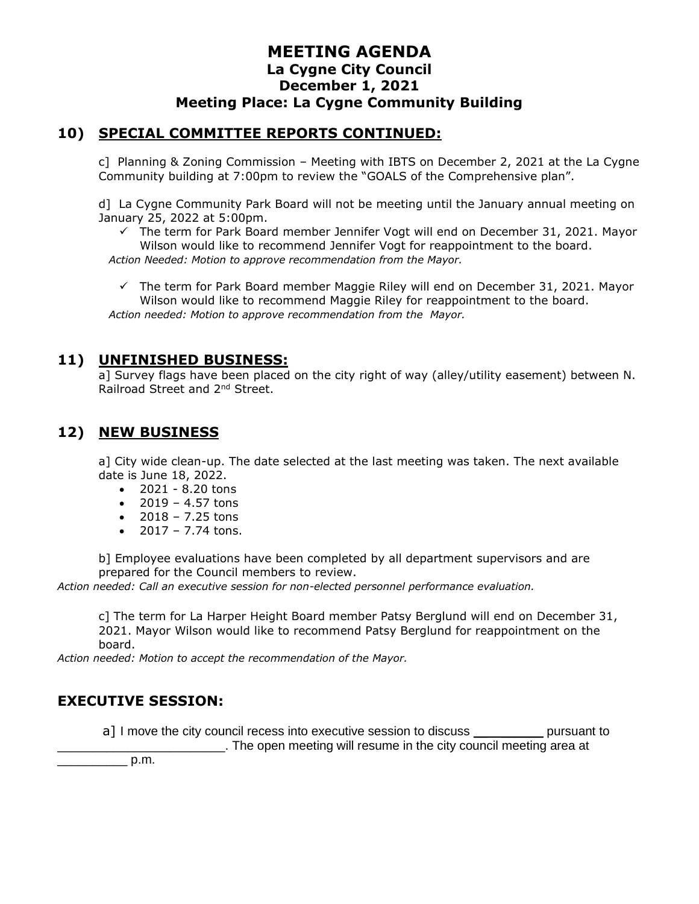#### **10) SPECIAL COMMITTEE REPORTS CONTINUED:**

c] Planning & Zoning Commission – Meeting with IBTS on December 2, 2021 at the La Cygne Community building at 7:00pm to review the "GOALS of the Comprehensive plan".

d] La Cygne Community Park Board will not be meeting until the January annual meeting on January 25, 2022 at 5:00pm.

 $\checkmark$  The term for Park Board member Jennifer Vogt will end on December 31, 2021. Mayor Wilson would like to recommend Jennifer Vogt for reappointment to the board.

*Action Needed: Motion to approve recommendation from the Mayor.*

 $\checkmark$  The term for Park Board member Maggie Riley will end on December 31, 2021. Mayor Wilson would like to recommend Maggie Riley for reappointment to the board. *Action needed: Motion to approve recommendation from the Mayor.*

#### **11) UNFINISHED BUSINESS:**

a] Survey flags have been placed on the city right of way (alley/utility easement) between N. Railroad Street and 2nd Street.

# **12) NEW BUSINESS**

a] City wide clean-up. The date selected at the last meeting was taken. The next available date is June 18, 2022.

- 2021 8.20 tons
- $2019 4.57$  tons
- $2018 7.25$  tons
- $2017 7.74$  tons.

b] Employee evaluations have been completed by all department supervisors and are prepared for the Council members to review.

*Action needed: Call an executive session for non-elected personnel performance evaluation.*

c] The term for La Harper Height Board member Patsy Berglund will end on December 31, 2021. Mayor Wilson would like to recommend Patsy Berglund for reappointment on the board.

*Action needed: Motion to accept the recommendation of the Mayor.*

# **EXECUTIVE SESSION:**

a] I move the city council recess into executive session to discuss example pursuant to \_\_\_\_\_\_\_\_\_\_\_\_\_\_\_\_\_\_\_\_\_\_\_\_. The open meeting will resume in the city council meeting area at

 $p.m.$